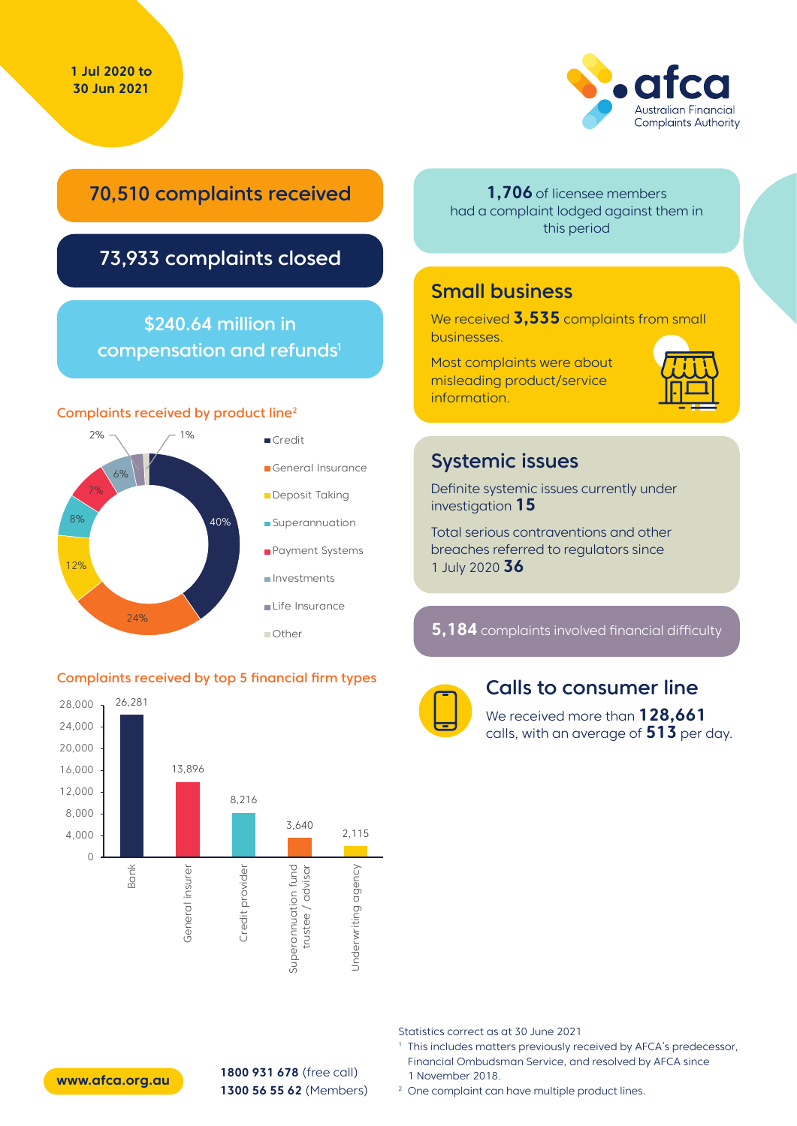

## 70,510 complaints received

## 73,933 complaints closed

### \$240.64 million in compensation and refunds<sup>1</sup>

#### Complaints received by product line2



#### Complaints received by top 5 financial firm types



**1,706** of licensee members had a complaint lodged against them in this period

### Small business

We received **3,535** complaints from small businesses.

Most complaints were about misleading product/service information.



#### Systemic issues

Definite systemic issues currently under investigation **15**

Total serious contraventions and other breaches referred to regulators since 1 July 2020 **36**

**5,184** complaints involved financial difficulty



#### Calls to consumer line

We received more than **128,661** calls, with an average of **513** per day.

Statistics correct as at 30 June 2021

- <sup>1</sup> This includes matters previously received by AFCA's predecessor, Financial Ombudsman Service, and resolved by AFCA since 1 November 2018.
- <sup>2</sup> One complaint can have multiple product lines.



**1800 931 678** (free call) **1300 56 55 62** (Members) **www.afca.org.au**